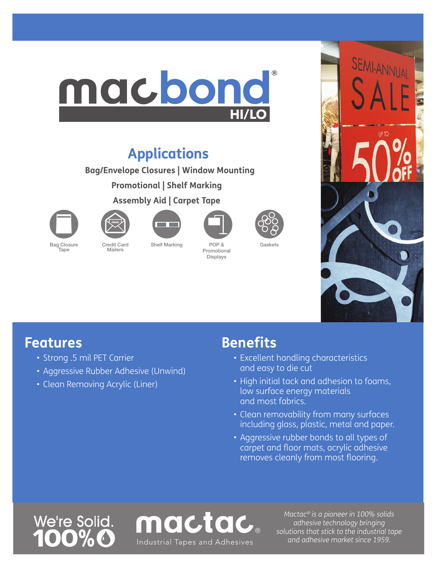## ® macbond **HI/LO**

### **Applications**

**Bag/Envelope Closures | Window Mounting**

**Promotional | Shelf Marking**

**Assembly Aid | Carpet Tape**



Tape



Mailers





Promotional Displays

Gaskets



#### **Features**

- Strong .5 mil PET Carrier
- Aggressive Rubber Adhesive (Unwind)
- Clean Removing Acrylic (Liner)

#### **Benefits**

- Excellent handling characteristics and easy to die cut
- High initial tack and adhesion to foams, low surface energy materials and most fabrics.
- Clean removability from many surfaces including glass, plastic, metal and paper.
- Aggressive rubber bonds to all types of carpet and floor mats, acrylic adhesive removes cleanly from most flooring.

# We're Solid.



*Mactac® is a pioneer in 100% solids adhesive technology bringing solutions that stick to the industrial tape*